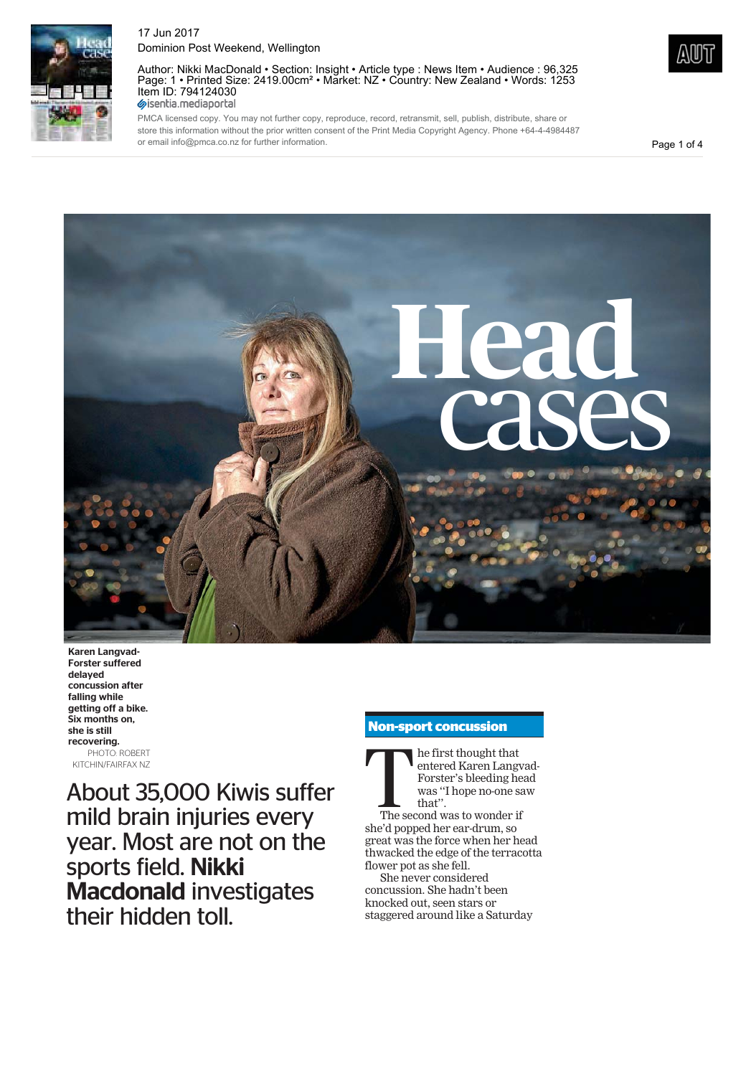

Author: Nikki MacDonald • Section: Insight • Article type : News Item • Audience : 96,325 Page: 1 • Printed Size: 2419.00cm² • Market: NZ • Country: New Zealand • Words: 1253 Item ID: 794124030<br>
Sisentia.mediaportal

PMCA licensed copy. You may not further copy, reproduce, record, retransmit, sell, publish, distribute, share or store this information without the prior written consent of the Print Media Copyright Agency. Phone +64-4-4984487 or email info@pmca.co.nz for further information.

Page 1 of 4



Karen Langvad-Forster suffered delayed concussion after falling while getting off a bike. Six months on, she is still recovering. PHOTO: ROBERT KITCHIN/FAIRFAX NZ

About 35,000 Kiwis suffer mild brain injuries every year. Most are not on the sports field. Nikki Macdonald investigates their hidden toll.

#### **Non-sport concussion**



she'd popped her ear-drum, so great was the force when her head thwacked the edge of the terracotta flower pot as she fell.

She never considered concussion. She hadn't been knocked out, seen stars or staggered around like a Saturday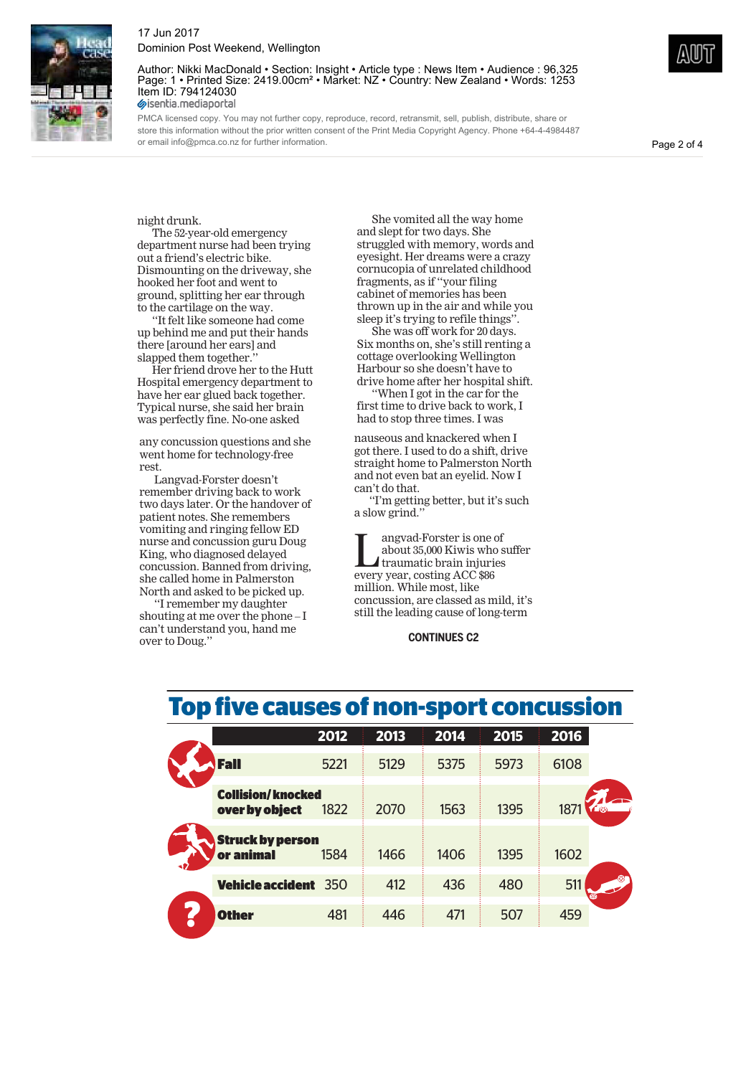

Author: Nikki MacDonald • Section: Insight • Article type : News Item • Audience : 96,325 Page: 1 • Printed Size: 2419.00cm<sup>2</sup> • Market: NZ • Country: New Zealand • Words: 1253 Item ID: 794124030<br>
Sisentia.mediaportal

PMCA licensed copy. You may not further copy, reproduce, record, retransmit, sell, publish, distribute, share or store this information without the prior written consent of the Print Media Copyright Agency. Phone +64-4-4984487 or email info@pmca.co.nz for further information.

Page 2 of 4

night drunk.

The 52-year-old emergency department nurse had been trying out a friend's electric bike. Dismounting on the driveway, she hooked her foot and went to ground, splitting her ear through to the cartilage on the way.

''It felt like someone had come up behind me and put their hands there [around her ears] and slapped them together.

Her friend drove her to the Hutt Hospital emergency department to have her ear glued back together. Typical nurse, she said her brain was perfectly fine. No-one asked

any concussion questions and she went home for technology-free rest.

Langvad-Forster doesn't remember driving back to work two days later. Or the handover of patient notes. She remembers vomiting and ringing fellow ED nurse and concussion guru Doug King, who diagnosed delayed concussion. Banned from driving, she called home in Palmerston North and asked to be picked up.

''I remember my daughter shouting at me over the phone – I can't understand you, hand me over to Doug.''

She vomited all the way home and slept for two days. She struggled with memory, words and eyesight. Her dreams were a crazy cornucopia of unrelated childhood fragments, as if ''your filing cabinet of memories has been thrown up in the air and while you sleep it's trying to refile things''.

She was off work for 20 days. Six months on, she's still renting a cottage overlooking Wellington Harbour so she doesn't have to drive home after her hospital shift.

When I got in the car for the first time to drive back to work, I had to stop three times. I was

nauseous and knackered when I got there. I used to do a shift, drive straight home to Palmerston North and not even bat an eyelid. Now I can't do that.

''I'm getting better, but it's such a slow grind.''

Imagvad-Forster is one of<br>about 35,000 Kiwis who s<br>traumatic brain injuries about 35,000 Kiwis who suffer traumatic brain injuries every year, costing ACC \$86 million. While most, like concussion, are classed as mild, it's still the leading cause of long-term

**CONTINUES C2**

## **Top five causes of non-sport concussion**

|                                            | 2012 | 2013 | 2014 | 2015 | 2016 |
|--------------------------------------------|------|------|------|------|------|
| <b>Fall</b>                                | 5221 | 5129 | 5375 | 5973 | 6108 |
| <b>Collision/knocked</b><br>over by object | 1822 | 2070 | 1563 | 1395 | 187  |
| <b>Struck by person</b><br>or animal       | 1584 | 1466 | 1406 | 1395 | 1602 |
| <b>Vehicle accident</b>                    | 350  | 412  | 436  | 480  | 51   |
| <b>Other</b>                               | 481  | 446  | 471  | 507  | 459  |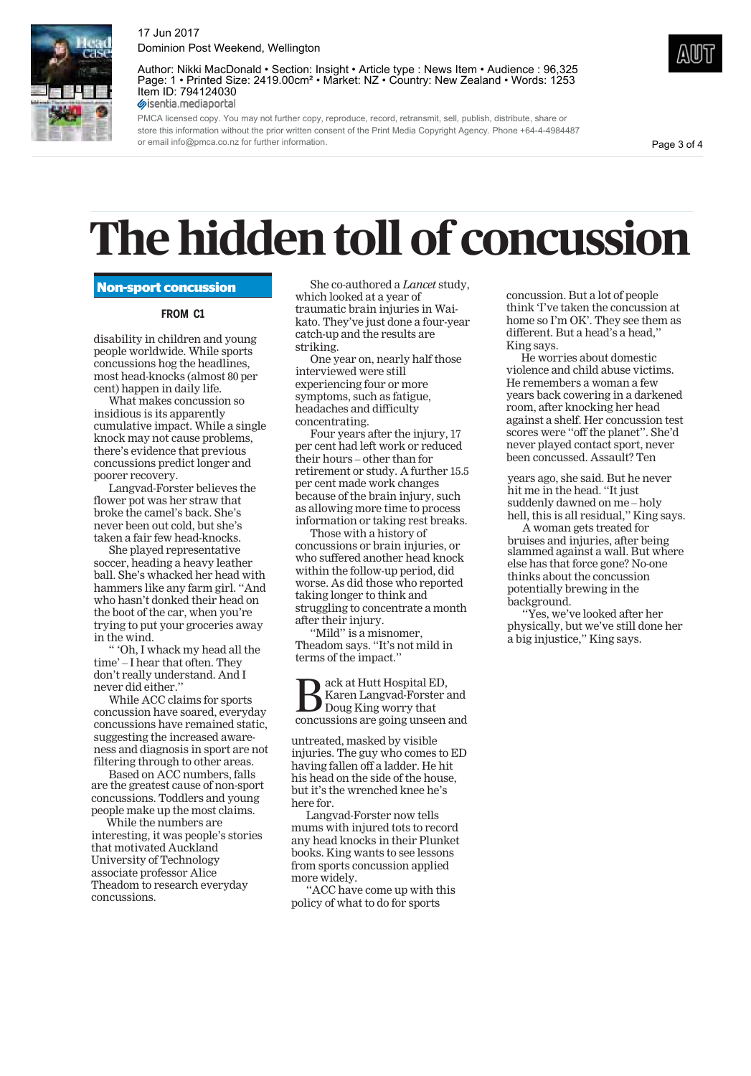

Author: Nikki MacDonald • Section: Insight • Article type : News Item • Audience : 96,325 Page: 1 • Printed Size: 2419.00cm<sup>2</sup> • Market: NZ • Country: New Zealand • Words: 1253 Item ID: 794124030<br>
Sisentia.mediaportal

PMCA licensed copy. You may not further copy, reproduce, record, retransmit, sell, publish, distribute, share or store this information without the prior written consent of the Print Media Copyright Agency. Phone +64-4-4984487 or email info@pmca.co.nz for further information.

Page 3 of 4

# **The hidden toll of concussion**

#### **Non-sport concussion**

#### **FROM C1**

disability in children and young people worldwide. While sports concussions hog the headlines, most head-knocks (almost 80 per cent) happen in daily life.

What makes concussion so insidious is its apparently cumulative impact. While a single knock may not cause problems, there's evidence that previous concussions predict longer and poorer recovery.

Langvad-Forster believes the flower pot was her straw that broke the camel's back. She's never been out cold, but she's taken a fair few head-knocks.

She played representative soccer, heading a heavy leather ball. She's whacked her head with hammers like any farm girl. ''And who hasn't donked their head on the boot of the car, when you're trying to put your groceries away in the wind.

'' 'Oh, I whack my head all the time' – I hear that often. They don't really understand. And I never did either.''

While ACC claims for sports concussion have soared, everyday concussions have remained static, suggesting the increased awareness and diagnosis in sport are not filtering through to other areas.

Based on ACC numbers, falls are the greatest cause of non-sport concussions. Toddlers and young people make up the most claims.

While the numbers are interesting, it was people's stories that motivated Auckland University of Technology associate professor Alice Theadom to research everyday concussions.

She co-authored a *Lancet* study, which looked at a year of traumatic brain injuries in Waikato. They've just done a four-year catch-up and the results are striking.

One year on, nearly half those interviewed were still experiencing four or more symptoms, such as fatigue, headaches and difficulty concentrating.

Four years after the injury, 17 per cent had left work or reduced their hours – other than for retirement or study. A further 15.5 per cent made work changes because of the brain injury, such as allowing more time to process information or taking rest breaks.

Those with a history of concussions or brain injuries, or who suffered another head knock within the follow-up period, did worse. As did those who reported taking longer to think and struggling to concentrate a month after their injury.

"Mild" is a misnomer, Theadom says. ''It's not mild in terms of the impact.''

 $\sum_{\substack{\text{Karen Langvad-Forster} \\ \text{Doug King worry that}}} \sum_{\substack{\text{Concussions} \\ \text{are going wrong unseen}}}$ Karen Langvad-Forster and concussions are going unseen and

untreated, masked by visible injuries. The guy who comes to ED having fallen off a ladder. He hit his head on the side of the house, but it's the wrenched knee he's here for.

Langvad-Forster now tells mums with injured tots to record any head knocks in their Plunket books. King wants to see lessons from sports concussion applied more widely.

''ACC have come up with this policy of what to do for sports

concussion. But a lot of people think 'I've taken the concussion at home so I'm OK'. They see them as different. But a head's a head,'' King says.

He worries about domestic violence and child abuse victims. He remembers a woman a few years back cowering in a darkened room, after knocking her head against a shelf. Her concussion test scores were ''off the planet''. She'd never played contact sport, never been concussed. Assault? Ten

years ago, she said. But he never hit me in the head. ''It just suddenly dawned on me – holy hell, this is all residual,'' King says.

A woman gets treated for bruises and injuries, after being slammed against a wall. But where else has that force gone? No-one thinks about the concussion potentially brewing in the background.

''Yes, we've looked after her physically, but we've still done her a big injustice,'' King says.